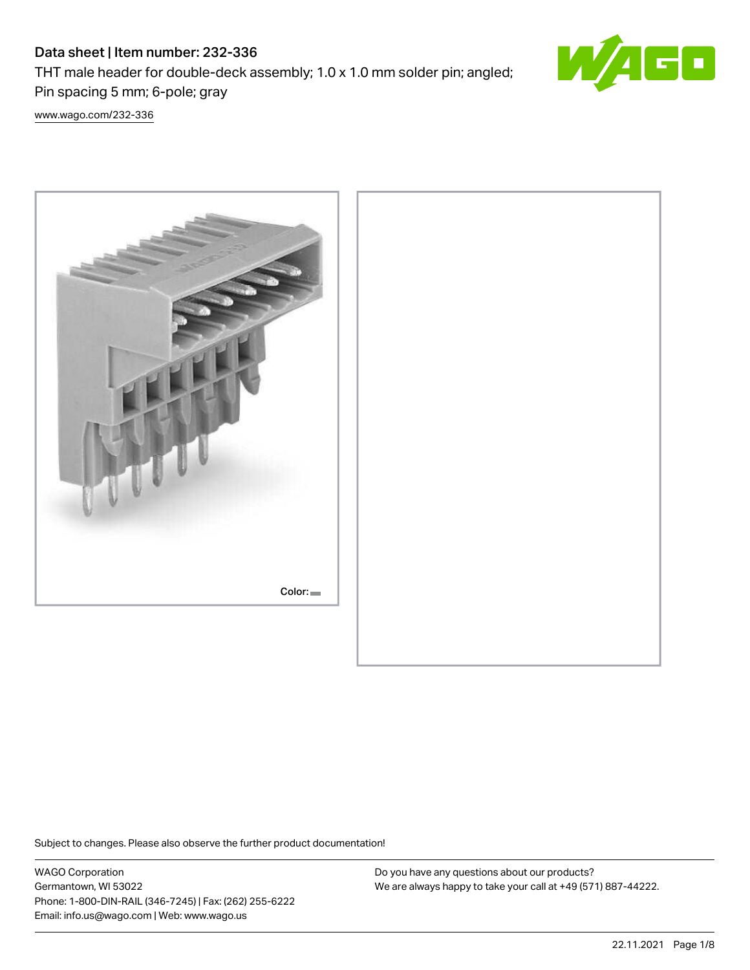# Data sheet | Item number: 232-336

THT male header for double-deck assembly; 1.0 x 1.0 mm solder pin; angled; Pin spacing 5 mm; 6-pole; gray



[www.wago.com/232-336](http://www.wago.com/232-336)



Subject to changes. Please also observe the further product documentation!

WAGO Corporation Germantown, WI 53022 Phone: 1-800-DIN-RAIL (346-7245) | Fax: (262) 255-6222 Email: info.us@wago.com | Web: www.wago.us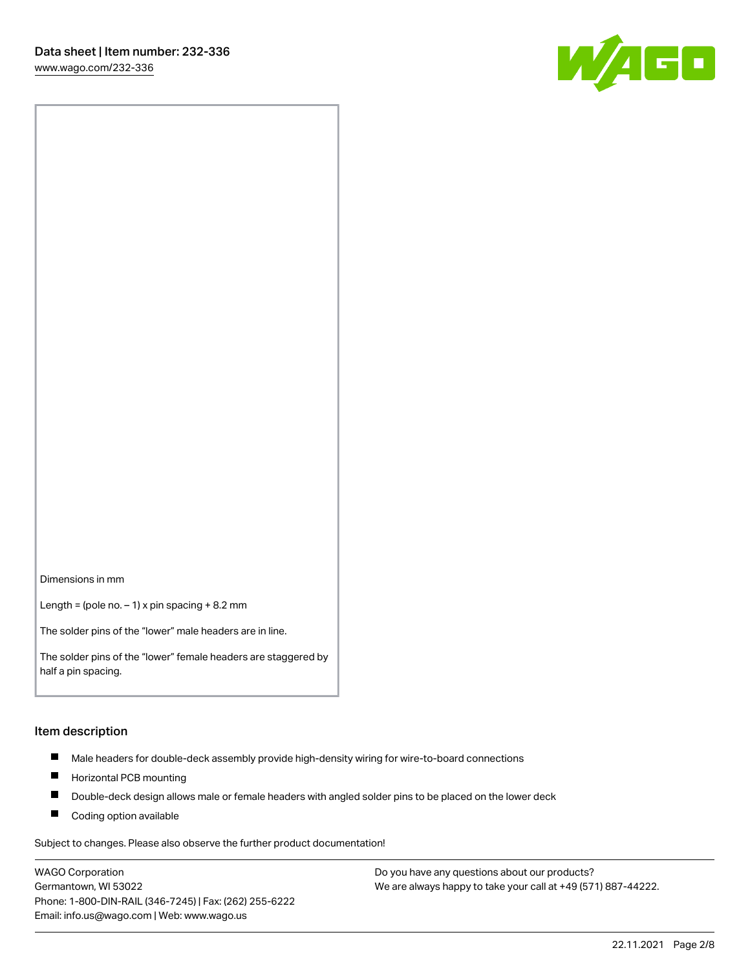

Dimensions in mm

Length = (pole no.  $-1$ ) x pin spacing + 8.2 mm

The solder pins of the "lower" male headers are in line.

The solder pins of the "lower" female headers are staggered by half a pin spacing.

#### Item description

- $\blacksquare$ Male headers for double-deck assembly provide high-density wiring for wire-to-board connections
- $\blacksquare$ Horizontal PCB mounting
- $\blacksquare$ Double-deck design allows male or female headers with angled solder pins to be placed on the lower deck
- $\blacksquare$ Coding option available

Subject to changes. Please also observe the further product documentation!

WAGO Corporation Germantown, WI 53022 Phone: 1-800-DIN-RAIL (346-7245) | Fax: (262) 255-6222 Email: info.us@wago.com | Web: www.wago.us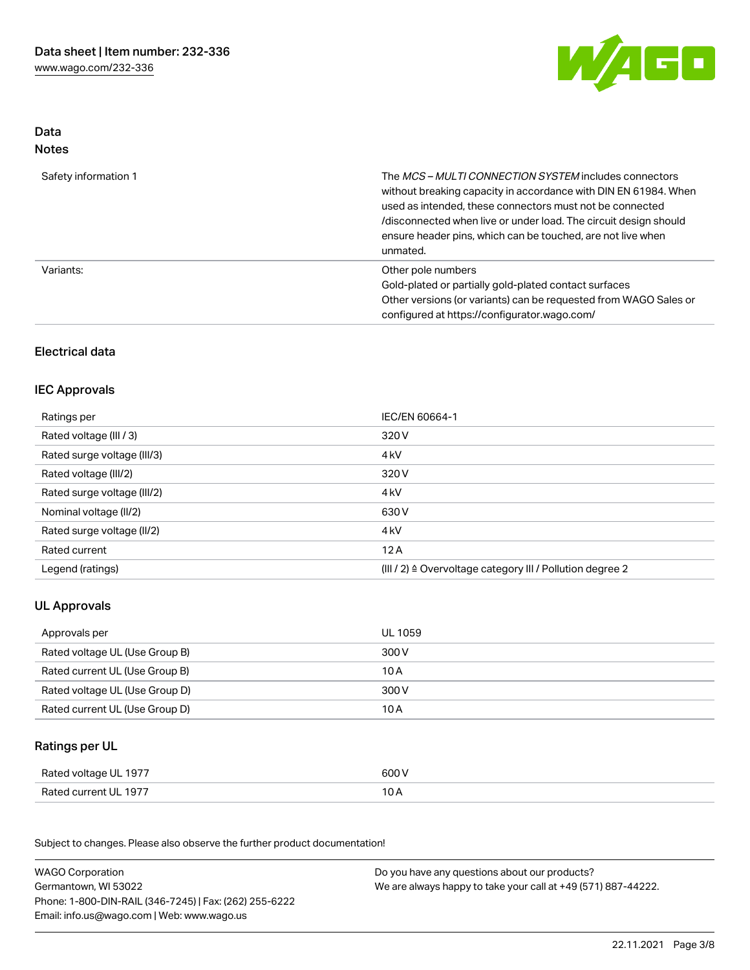

#### Data Notes

| Safety information 1 | The MCS-MULTI CONNECTION SYSTEM includes connectors<br>without breaking capacity in accordance with DIN EN 61984. When<br>used as intended, these connectors must not be connected<br>/disconnected when live or under load. The circuit design should<br>ensure header pins, which can be touched, are not live when<br>unmated. |
|----------------------|-----------------------------------------------------------------------------------------------------------------------------------------------------------------------------------------------------------------------------------------------------------------------------------------------------------------------------------|
| Variants:            | Other pole numbers<br>Gold-plated or partially gold-plated contact surfaces<br>Other versions (or variants) can be requested from WAGO Sales or<br>configured at https://configurator.wago.com/                                                                                                                                   |

## Electrical data

#### IEC Approvals

| Ratings per                 | IEC/EN 60664-1                                                        |
|-----------------------------|-----------------------------------------------------------------------|
| Rated voltage (III / 3)     | 320 V                                                                 |
| Rated surge voltage (III/3) | 4 <sub>k</sub> V                                                      |
| Rated voltage (III/2)       | 320 V                                                                 |
| Rated surge voltage (III/2) | 4 <sub>k</sub> V                                                      |
| Nominal voltage (II/2)      | 630 V                                                                 |
| Rated surge voltage (II/2)  | 4 <sub>k</sub> V                                                      |
| Rated current               | 12A                                                                   |
| Legend (ratings)            | $(III / 2)$ $\triangle$ Overvoltage category III / Pollution degree 2 |

# UL Approvals

| Approvals per                  | UL 1059 |
|--------------------------------|---------|
| Rated voltage UL (Use Group B) | 300 V   |
| Rated current UL (Use Group B) | 10 A    |
| Rated voltage UL (Use Group D) | 300 V   |
| Rated current UL (Use Group D) | 10 A    |

# Ratings per UL

| Rated voltage UL 1977 | 600 V          |
|-----------------------|----------------|
| Rated current UL 1977 | 1 O A<br>, U H |

Subject to changes. Please also observe the further product documentation!

| <b>WAGO Corporation</b>                                | Do you have any questions about our products?                 |
|--------------------------------------------------------|---------------------------------------------------------------|
| Germantown, WI 53022                                   | We are always happy to take your call at +49 (571) 887-44222. |
| Phone: 1-800-DIN-RAIL (346-7245)   Fax: (262) 255-6222 |                                                               |
| Email: info.us@wago.com   Web: www.wago.us             |                                                               |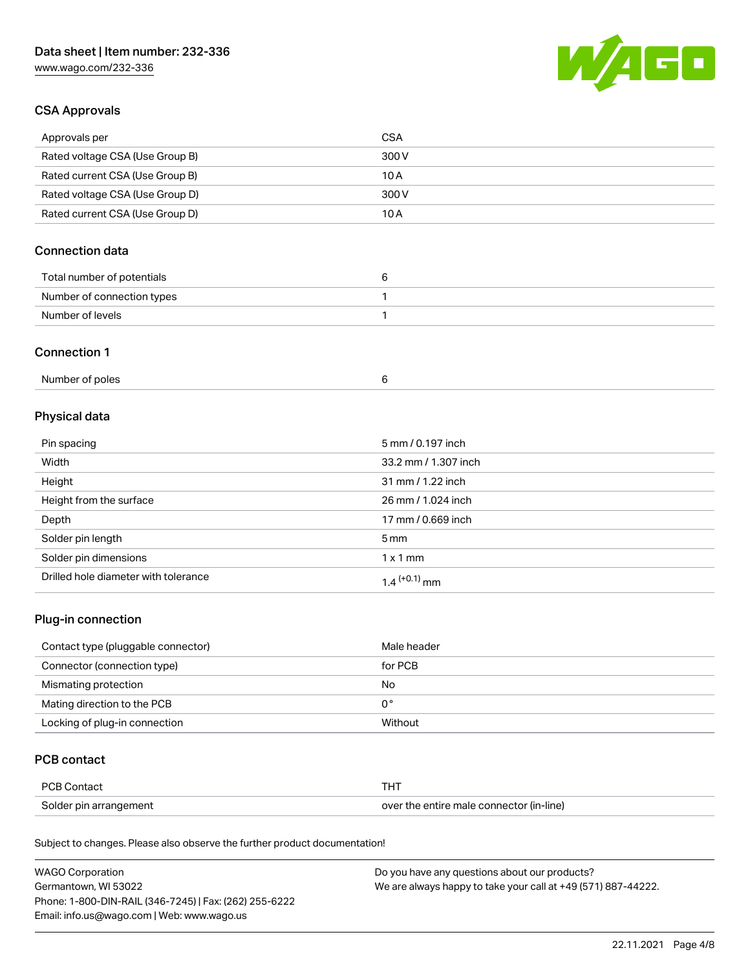# Data sheet | Item number: 232-336

[www.wago.com/232-336](http://www.wago.com/232-336)



#### CSA Approvals

| Approvals per                   | CSA   |
|---------------------------------|-------|
| Rated voltage CSA (Use Group B) | 300 V |
| Rated current CSA (Use Group B) | 10 A  |
| Rated voltage CSA (Use Group D) | 300 V |
| Rated current CSA (Use Group D) | 10 A  |

# Connection data

| Total number of potentials |  |
|----------------------------|--|
| Number of connection types |  |
| Number of levels           |  |

#### Connection 1

| Number of poles |  |
|-----------------|--|
|-----------------|--|

# Physical data

| Pin spacing                          | 5 mm / 0.197 inch    |
|--------------------------------------|----------------------|
| Width                                | 33.2 mm / 1.307 inch |
| Height                               | 31 mm / 1.22 inch    |
| Height from the surface              | 26 mm / 1.024 inch   |
| Depth                                | 17 mm / 0.669 inch   |
| Solder pin length                    | $5 \,\mathrm{mm}$    |
| Solder pin dimensions                | $1 \times 1$ mm      |
| Drilled hole diameter with tolerance | $1.4$ $(+0.1)$ mm    |

### Plug-in connection

| Contact type (pluggable connector) | Male header |
|------------------------------------|-------------|
| Connector (connection type)        | for PCB     |
| Mismating protection               | No          |
| Mating direction to the PCB        | 0°          |
| Locking of plug-in connection      | Without     |

#### PCB contact

| <b>PCB Contact</b>     | <b>THT</b>                               |
|------------------------|------------------------------------------|
| Solder pin arrangement | over the entire male connector (in-line) |

Subject to changes. Please also observe the further product documentation!

| <b>WAGO Corporation</b>                                | Do you have any questions about our products?                 |
|--------------------------------------------------------|---------------------------------------------------------------|
| Germantown, WI 53022                                   | We are always happy to take your call at +49 (571) 887-44222. |
| Phone: 1-800-DIN-RAIL (346-7245)   Fax: (262) 255-6222 |                                                               |
| Email: info.us@wago.com   Web: www.wago.us             |                                                               |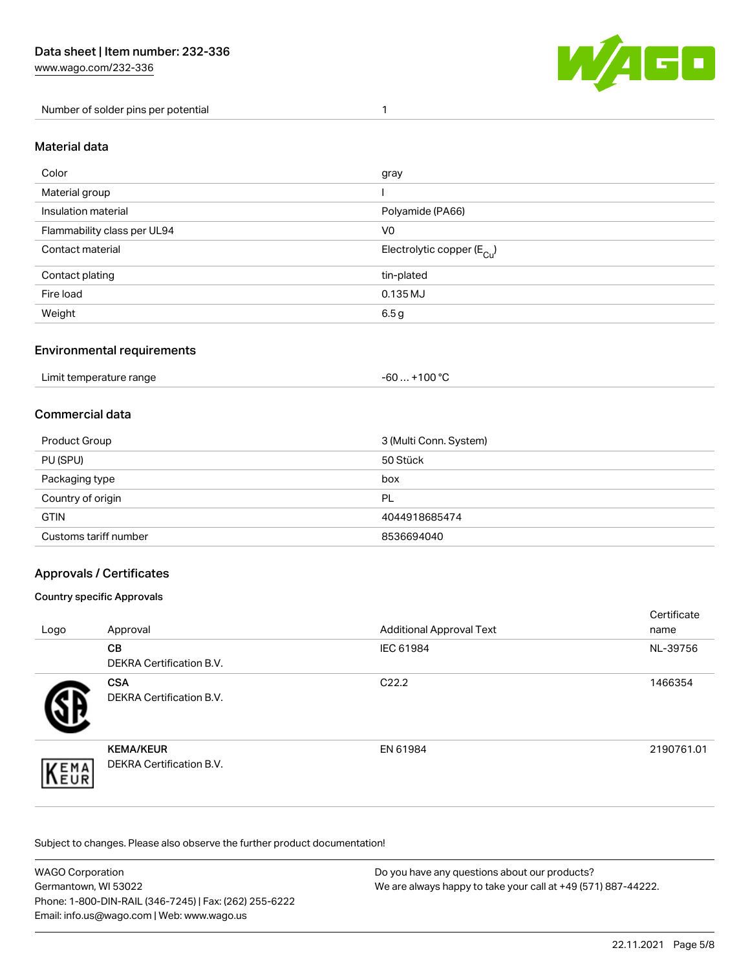[www.wago.com/232-336](http://www.wago.com/232-336)

Number of solder pins per potential 1



#### Material data

| Color                       | gray                                   |
|-----------------------------|----------------------------------------|
| Material group              |                                        |
| Insulation material         | Polyamide (PA66)                       |
| Flammability class per UL94 | V <sub>0</sub>                         |
| Contact material            | Electrolytic copper (E <sub>Cu</sub> ) |
| Contact plating             | tin-plated                             |
| Fire load                   | 0.135 MJ                               |
| Weight                      | 6.5g                                   |

#### Environmental requirements

Limit temperature range  $-60... +100$  °C

#### Commercial data

| Product Group         | 3 (Multi Conn. System) |
|-----------------------|------------------------|
| PU (SPU)              | 50 Stück               |
| Packaging type        | box                    |
| Country of origin     | PL                     |
| <b>GTIN</b>           | 4044918685474          |
| Customs tariff number | 8536694040             |

#### Approvals / Certificates

#### Country specific Approvals

| Logo               | Approval                                            | <b>Additional Approval Text</b> | Certificate<br>name |
|--------------------|-----------------------------------------------------|---------------------------------|---------------------|
|                    | <b>CB</b><br><b>DEKRA Certification B.V.</b>        | IEC 61984                       | NL-39756            |
|                    | <b>CSA</b><br>DEKRA Certification B.V.              | C <sub>22.2</sub>               | 1466354             |
| EMA<br><b>NEUR</b> | <b>KEMA/KEUR</b><br><b>DEKRA Certification B.V.</b> | EN 61984                        | 2190761.01          |

Subject to changes. Please also observe the further product documentation!

| <b>WAGO Corporation</b>                                | Do you have any questions about our products?                 |
|--------------------------------------------------------|---------------------------------------------------------------|
| Germantown, WI 53022                                   | We are always happy to take your call at +49 (571) 887-44222. |
| Phone: 1-800-DIN-RAIL (346-7245)   Fax: (262) 255-6222 |                                                               |
| Email: info.us@wago.com   Web: www.wago.us             |                                                               |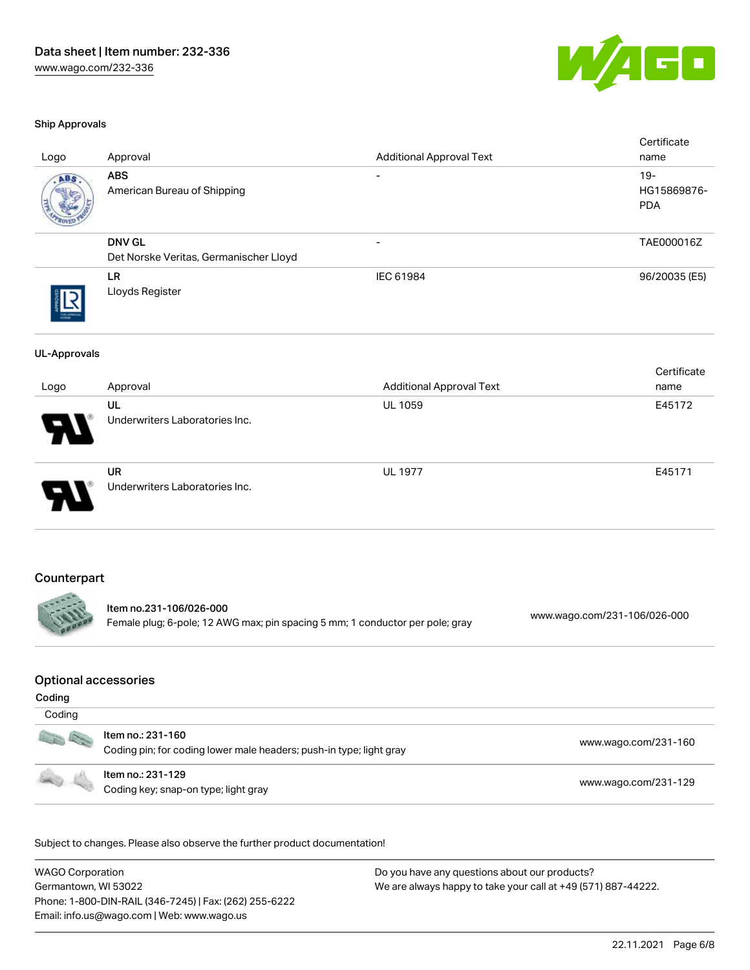

#### Ship Approvals

| Logo                                  | Approval                                                                                                 | <b>Additional Approval Text</b> | Certificate<br>name                 |
|---------------------------------------|----------------------------------------------------------------------------------------------------------|---------------------------------|-------------------------------------|
|                                       | <b>ABS</b><br>American Bureau of Shipping                                                                |                                 | $19 -$<br>HG15869876-<br><b>PDA</b> |
|                                       | <b>DNV GL</b><br>Det Norske Veritas, Germanischer Lloyd                                                  | $\overline{\phantom{a}}$        | TAE000016Z                          |
|                                       | LR<br>Lloyds Register                                                                                    | IEC 61984                       | 96/20035 (E5)                       |
| <b>UL-Approvals</b>                   |                                                                                                          |                                 |                                     |
| Logo                                  | Approval                                                                                                 | <b>Additional Approval Text</b> | Certificate<br>name                 |
|                                       | UL<br>Underwriters Laboratories Inc.                                                                     | UL 1059                         | E45172                              |
|                                       | <b>UR</b><br>Underwriters Laboratories Inc.                                                              | <b>UL 1977</b>                  | E45171                              |
| Counterpart                           | Item no.231-106/026-000<br>Female plug; 6-pole; 12 AWG max; pin spacing 5 mm; 1 conductor per pole; gray |                                 | www.wago.com/231-106/026-000        |
| <b>Optional accessories</b><br>Coding |                                                                                                          |                                 |                                     |
| Coding                                | Item no.: 231-160                                                                                        |                                 | www.wago.com/231-160                |
|                                       | Coding pin; for coding lower male headers; push-in type; light gray<br>Item no.: 231-129                 |                                 | www.wago.com/231-129                |
|                                       | Coding key; snap-on type; light gray                                                                     |                                 |                                     |

Subject to changes. Please also observe the further product documentation!

WAGO Corporation Germantown, WI 53022 Phone: 1-800-DIN-RAIL (346-7245) | Fax: (262) 255-6222 Email: info.us@wago.com | Web: www.wago.us Do you have any questions about our products? We are always happy to take your call at +49 (571) 887-44222.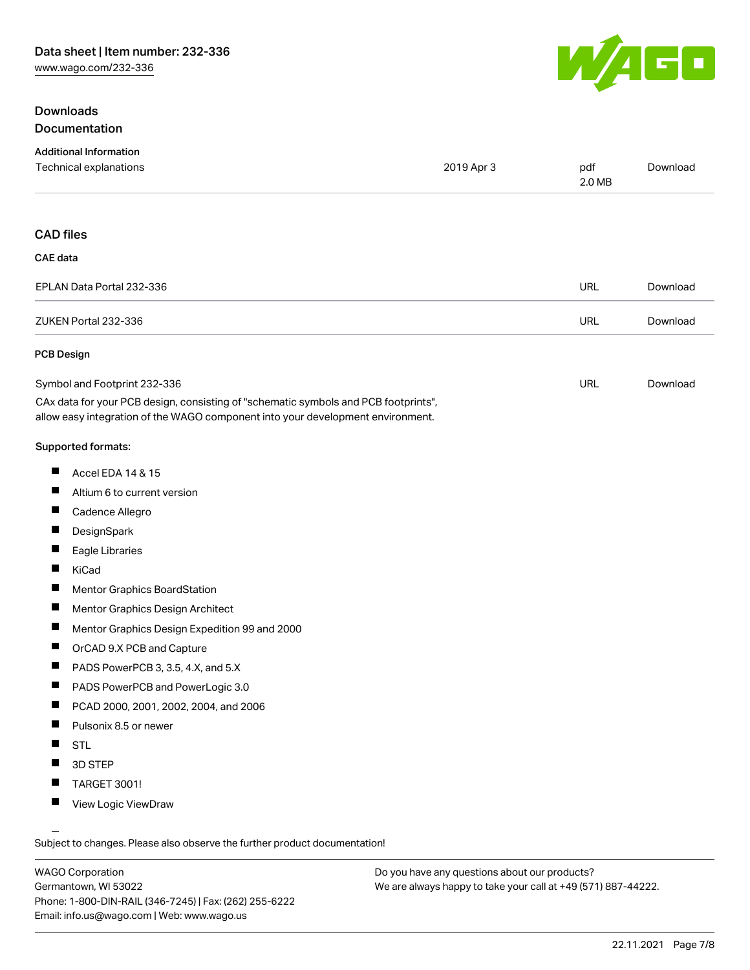#### Downloads Documentation



| <b>Additional Information</b>                                                                                                                                          |            |               |          |
|------------------------------------------------------------------------------------------------------------------------------------------------------------------------|------------|---------------|----------|
| Technical explanations                                                                                                                                                 | 2019 Apr 3 | pdf<br>2.0 MB | Download |
|                                                                                                                                                                        |            |               |          |
| <b>CAD files</b>                                                                                                                                                       |            |               |          |
| <b>CAE</b> data                                                                                                                                                        |            |               |          |
| EPLAN Data Portal 232-336                                                                                                                                              |            | <b>URL</b>    | Download |
| ZUKEN Portal 232-336                                                                                                                                                   |            | <b>URL</b>    | Download |
| <b>PCB Design</b>                                                                                                                                                      |            |               |          |
| Symbol and Footprint 232-336                                                                                                                                           |            | URL           | Download |
| CAx data for your PCB design, consisting of "schematic symbols and PCB footprints",<br>allow easy integration of the WAGO component into your development environment. |            |               |          |
| <b>Supported formats:</b>                                                                                                                                              |            |               |          |
| ш<br>Accel EDA 14 & 15                                                                                                                                                 |            |               |          |
| ш<br>Altium 6 to current version                                                                                                                                       |            |               |          |
| ш<br>Cadence Allegro                                                                                                                                                   |            |               |          |
| ш<br>DesignSpark                                                                                                                                                       |            |               |          |
| ш<br>Eagle Libraries                                                                                                                                                   |            |               |          |
| ш<br>KiCad                                                                                                                                                             |            |               |          |

- $\blacksquare$ Mentor Graphics BoardStation
- $\blacksquare$ Mentor Graphics Design Architect
- $\blacksquare$ Mentor Graphics Design Expedition 99 and 2000
- $\blacksquare$ OrCAD 9.X PCB and Capture
- $\blacksquare$ PADS PowerPCB 3, 3.5, 4.X, and 5.X
- $\blacksquare$ PADS PowerPCB and PowerLogic 3.0
- $\blacksquare$ PCAD 2000, 2001, 2002, 2004, and 2006
- $\blacksquare$ Pulsonix 8.5 or newer
- $\blacksquare$ STL
- $\blacksquare$ 3D STEP
- П TARGET 3001!
- $\blacksquare$ View Logic ViewDraw

Subject to changes. Please also observe the further product documentation!

WAGO Corporation Germantown, WI 53022 Phone: 1-800-DIN-RAIL (346-7245) | Fax: (262) 255-6222 Email: info.us@wago.com | Web: www.wago.us